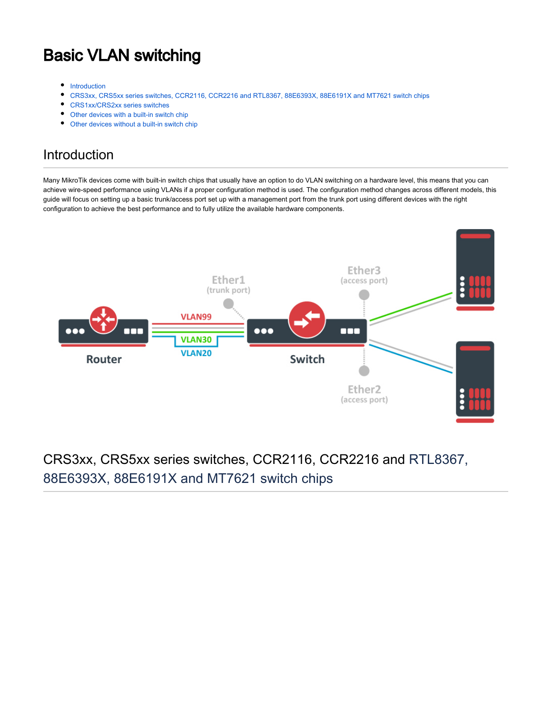# Basic VLAN switching

- $\bullet$ [Introduction](#page-0-0)
- [CRS3xx, CRS5xx series switches, CCR2116, CCR2216 and RTL8367, 88E6393X, 88E6191X and MT7621 switch chips](#page-0-1)  $\bullet$
- [CRS1xx/CRS2xx series switches](#page-1-0)
- [Other devices with a built-in switch chip](#page-1-1)
- [Other devices without a built-in switch chip](#page-2-0)

### <span id="page-0-0"></span>Introduction

Many MikroTik devices come with built-in switch chips that usually have an option to do VLAN switching on a hardware level, this means that you can achieve wire-speed performance using VLANs if a proper configuration method is used. The configuration method changes across different models, this guide will focus on setting up a basic trunk/access port set up with a management port from the trunk port using different devices with the right configuration to achieve the best performance and to fully utilize the available hardware components.



### <span id="page-0-1"></span>CRS3xx, CRS5xx series switches, CCR2116, CCR2216 and RTL8367, 88E6393X, 88E6191X and MT7621 switch chips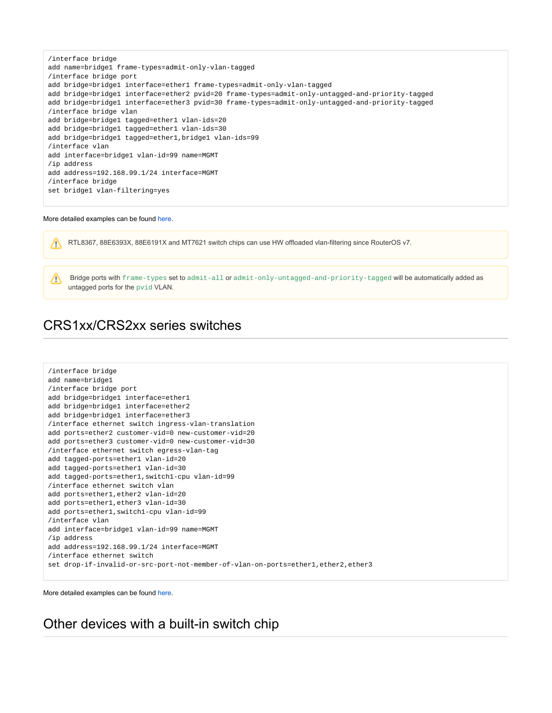```
/interface bridge
add name=bridge1 frame-types=admit-only-vlan-tagged
/interface bridge port
add bridge=bridge1 interface=ether1 frame-types=admit-only-vlan-tagged
add bridge=bridge1 interface=ether2 pvid=20 frame-types=admit-only-untagged-and-priority-tagged
add bridge=bridge1 interface=ether3 pvid=30 frame-types=admit-only-untagged-and-priority-tagged
/interface bridge vlan
add bridge=bridge1 tagged=ether1 vlan-ids=20
add bridge=bridge1 tagged=ether1 vlan-ids=30
add bridge=bridge1 tagged=ether1,bridge1 vlan-ids=99
/interface vlan
add interface=bridge1 vlan-id=99 name=MGMT
/ip address
add address=192.168.99.1/24 interface=MGMT
/interface bridge
set bridge1 vlan-filtering=yes
```
#### More detailed examples can be found [here](https://help.mikrotik.com/docs/display/ROS/Bridging+and+Switching#BridgingandSwitching-BridgeVLANFiltering).

Λ

RTL8367, 88E6393X, 88E6191X and MT7621 switch chips can use HW offloaded vlan-filtering since RouterOS v7.

 Bridge ports with frame-types set to admit-all or admit-only-untagged-and-priority-tagged will be automatically added as untagged ports for the pvid VLAN.

### <span id="page-1-0"></span>CRS1xx/CRS2xx series switches

```
/interface bridge
add name=bridge1
/interface bridge port
add bridge=bridge1 interface=ether1
add bridge=bridge1 interface=ether2
add bridge=bridge1 interface=ether3
/interface ethernet switch ingress-vlan-translation
add ports=ether2 customer-vid=0 new-customer-vid=20
add ports=ether3 customer-vid=0 new-customer-vid=30
/interface ethernet switch egress-vlan-tag
add tagged-ports=ether1 vlan-id=20
add tagged-ports=ether1 vlan-id=30
add tagged-ports=ether1,switch1-cpu vlan-id=99
/interface ethernet switch vlan
add ports=ether1,ether2 vlan-id=20
add ports=ether1,ether3 vlan-id=30
add ports=ether1,switch1-cpu vlan-id=99
/interface vlan
add interface=bridge1 vlan-id=99 name=MGMT
/ip address
add address=192.168.99.1/24 interface=MGMT
/interface ethernet switch
set drop-if-invalid-or-src-port-not-member-of-vlan-on-ports=ether1,ether2,ether3
```
More detailed examples can be found [here](https://help.mikrotik.com/docs/pages/viewpage.action?pageId=103841836#CRS1xx/2xxseriesswitchesexamples-VLAN).

<span id="page-1-1"></span>Other devices with a built-in switch chip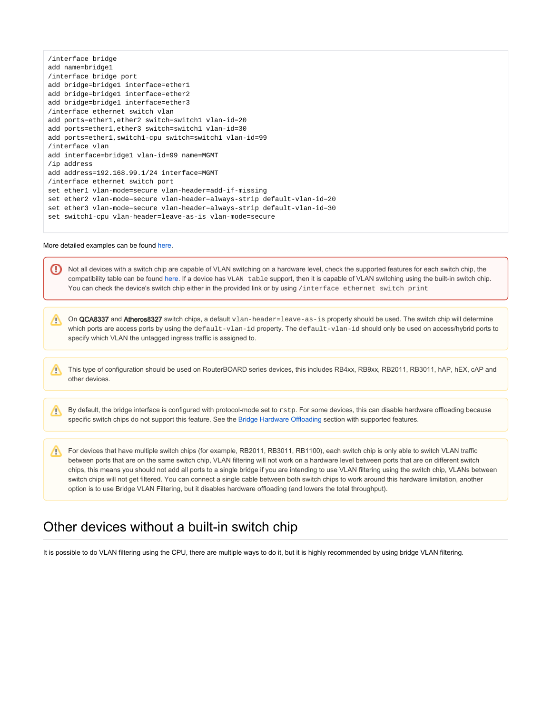|                                                         | /interface bridge                                                       |  |
|---------------------------------------------------------|-------------------------------------------------------------------------|--|
|                                                         | add name=bridge1                                                        |  |
|                                                         | /interface bridge port                                                  |  |
| add bridge=bridge1 interface=ether1                     |                                                                         |  |
|                                                         | add bridge=bridge1 interface=ether2                                     |  |
|                                                         | add bridge=bridge1 interface=ether3                                     |  |
|                                                         | /interface ethernet switch vlan                                         |  |
|                                                         | add ports=ether1, ether2 switch=switch1 vlan-id=20                      |  |
|                                                         | add ports=ether1, ether3 switch=switch1 vlan-id=30                      |  |
| add ports=ether1, switch1-cpu switch=switch1 vlan-id=99 |                                                                         |  |
| /interface vlan                                         |                                                                         |  |
| add interface=bridge1 vlan-id=99 name=MGMT              |                                                                         |  |
| /ip address                                             |                                                                         |  |
|                                                         | add address=192.168.99.1/24 interface=MGMT                              |  |
|                                                         | /interface ethernet switch port                                         |  |
|                                                         | set ether1 vlan-mode=secure vlan-header=add-if-missing                  |  |
|                                                         | set ether2 vlan-mode=secure vlan-header=always-strip default-vlan-id=20 |  |
|                                                         | set ether3 vlan-mode=secure vlan-header=always-strip default-vlan-id=30 |  |
|                                                         | set switchl-cpu vlan-header=leave-as-is vlan-mode=secure                |  |
|                                                         |                                                                         |  |

#### More detailed examples can be found [here](https://help.mikrotik.com/docs/display/ROS/Switch+Chip+Features#SwitchChipFeatures-SetupExamples).

|   | Not all devices with a switch chip are capable of VLAN switching on a hardware level, check the supported features for each switch chip, the<br>compatibility table can be found here. If a device has VLAN table support, then it is capable of VLAN switching using the built-in switch chip.<br>You can check the device's switch chip either in the provided link or by using /interface ethernet switch print                                                                                                                                                                                                                                                                                             |
|---|----------------------------------------------------------------------------------------------------------------------------------------------------------------------------------------------------------------------------------------------------------------------------------------------------------------------------------------------------------------------------------------------------------------------------------------------------------------------------------------------------------------------------------------------------------------------------------------------------------------------------------------------------------------------------------------------------------------|
| Λ | On QCA8337 and Atheros8327 switch chips, a default vlan-header=leave-as-is property should be used. The switch chip will determine<br>which ports are access ports by using the default-vlan-id property. The default-vlan-id should only be used on access/hybrid ports to<br>specify which VLAN the untagged ingress traffic is assigned to.                                                                                                                                                                                                                                                                                                                                                                 |
| л | This type of configuration should be used on RouterBOARD series devices, this includes RB4xx, RB9xx, RB2011, RB3011, hAP, hEX, cAP and<br>other devices.                                                                                                                                                                                                                                                                                                                                                                                                                                                                                                                                                       |
| Л | By default, the bridge interface is configured with protocol-mode set to rstp. For some devices, this can disable hardware offloading because<br>specific switch chips do not support this feature. See the Bridge Hardware Offloading section with supported features.                                                                                                                                                                                                                                                                                                                                                                                                                                        |
| Λ | For devices that have multiple switch chips (for example, RB2011, RB3011, RB1100), each switch chip is only able to switch VLAN traffic<br>between ports that are on the same switch chip, VLAN filtering will not work on a hardware level between ports that are on different switch<br>chips, this means you should not add all ports to a single bridge if you are intending to use VLAN filtering using the switch chip, VLANs between<br>switch chips will not get filtered. You can connect a single cable between both switch chips to work around this hardware limitation, another<br>option is to use Bridge VLAN Filtering, but it disables hardware offloading (and lowers the total throughput). |

## <span id="page-2-0"></span>Other devices without a built-in switch chip

It is possible to do VLAN filtering using the CPU, there are multiple ways to do it, but it is highly recommended by using bridge VLAN filtering.